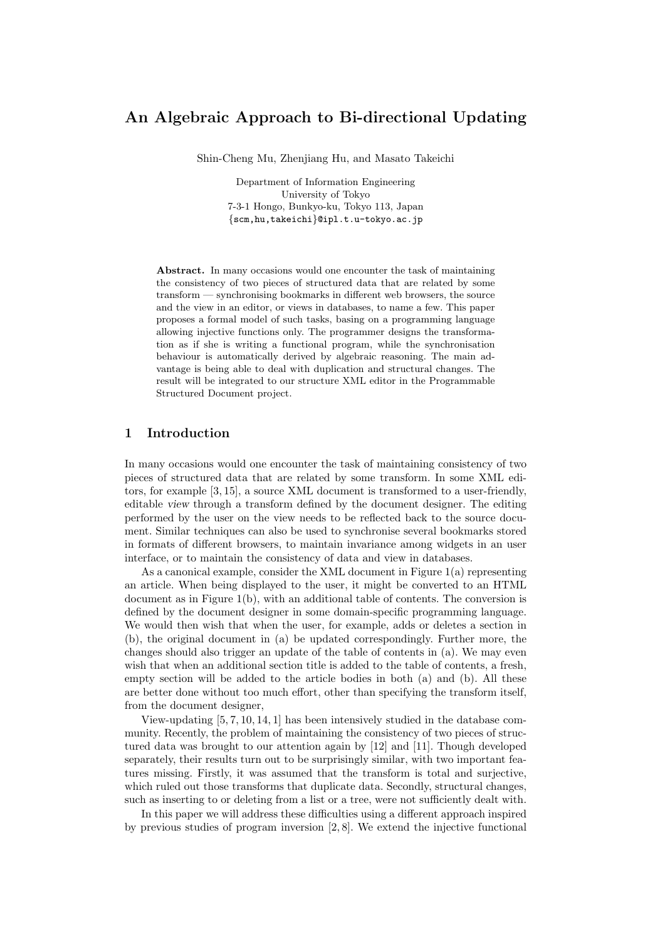# An Algebraic Approach to Bi-directional Updating

Shin-Cheng Mu, Zhenjiang Hu, and Masato Takeichi

Department of Information Engineering University of Tokyo 7-3-1 Hongo, Bunkyo-ku, Tokyo 113, Japan {scm,hu,takeichi}@ipl.t.u-tokyo.ac.jp

Abstract. In many occasions would one encounter the task of maintaining the consistency of two pieces of structured data that are related by some transform — synchronising bookmarks in different web browsers, the source and the view in an editor, or views in databases, to name a few. This paper proposes a formal model of such tasks, basing on a programming language allowing injective functions only. The programmer designs the transformation as if she is writing a functional program, while the synchronisation behaviour is automatically derived by algebraic reasoning. The main advantage is being able to deal with duplication and structural changes. The result will be integrated to our structure XML editor in the Programmable Structured Document project.

## 1 Introduction

In many occasions would one encounter the task of maintaining consistency of two pieces of structured data that are related by some transform. In some XML editors, for example [3, 15], a source XML document is transformed to a user-friendly, editable view through a transform defined by the document designer. The editing performed by the user on the view needs to be reflected back to the source document. Similar techniques can also be used to synchronise several bookmarks stored in formats of different browsers, to maintain invariance among widgets in an user interface, or to maintain the consistency of data and view in databases.

As a canonical example, consider the XML document in Figure 1(a) representing an article. When being displayed to the user, it might be converted to an HTML document as in Figure 1(b), with an additional table of contents. The conversion is defined by the document designer in some domain-specific programming language. We would then wish that when the user, for example, adds or deletes a section in (b), the original document in (a) be updated correspondingly. Further more, the changes should also trigger an update of the table of contents in (a). We may even wish that when an additional section title is added to the table of contents, a fresh, empty section will be added to the article bodies in both (a) and (b). All these are better done without too much effort, other than specifying the transform itself, from the document designer,

View-updating [5, 7, 10, 14, 1] has been intensively studied in the database community. Recently, the problem of maintaining the consistency of two pieces of structured data was brought to our attention again by [12] and [11]. Though developed separately, their results turn out to be surprisingly similar, with two important features missing. Firstly, it was assumed that the transform is total and surjective, which ruled out those transforms that duplicate data. Secondly, structural changes, such as inserting to or deleting from a list or a tree, were not sufficiently dealt with.

In this paper we will address these difficulties using a different approach inspired by previous studies of program inversion [2, 8]. We extend the injective functional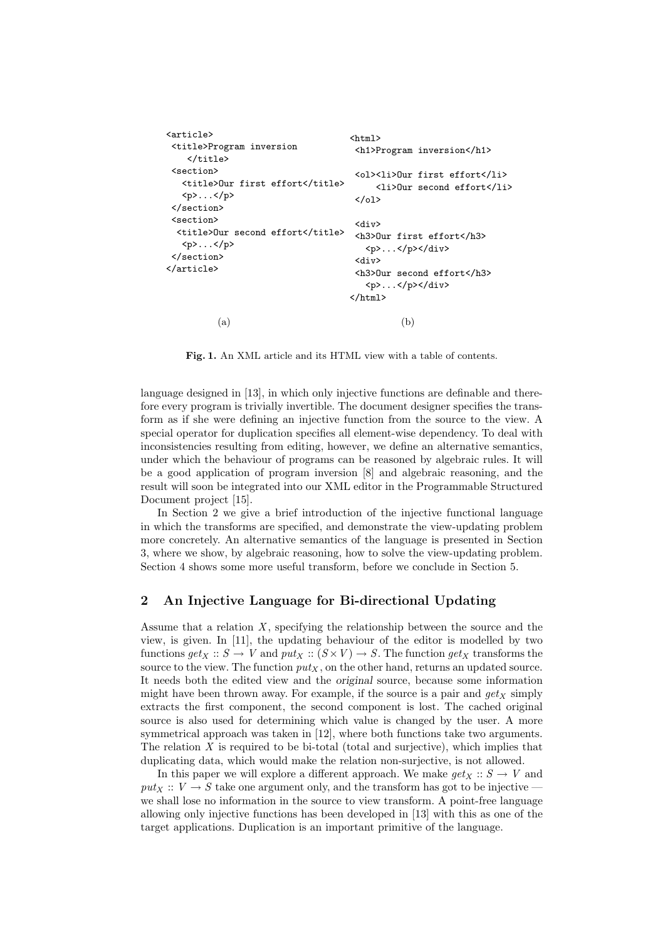```
<article>
 <title>Program inversion
    \langletitle>
 <section>
   <title>Our first effort</title>
   < p > . . . < / p ></section>
 <section>
  <title>Our second effort</title>
   < p > . . . < p ></section>
</article>
                                    \verb|html|<h1>Program inversion</h1>
                                     <ol><li>Our first effort</li>
                                         <li>Our second effort</li>
                                     \langle/ol>
                                     <div>
                                     <h3>Our first effort</h3>
                                       <p>...</p></div>
                                     <div>
                                     <h3>Our second effort</h3>
                                       <p>...</p></div>
                                    </html>
          (a) (b)
```
Fig. 1. An XML article and its HTML view with a table of contents.

language designed in [13], in which only injective functions are definable and therefore every program is trivially invertible. The document designer specifies the transform as if she were defining an injective function from the source to the view. A special operator for duplication specifies all element-wise dependency. To deal with inconsistencies resulting from editing, however, we define an alternative semantics, under which the behaviour of programs can be reasoned by algebraic rules. It will be a good application of program inversion [8] and algebraic reasoning, and the result will soon be integrated into our XML editor in the Programmable Structured Document project [15].

In Section 2 we give a brief introduction of the injective functional language in which the transforms are specified, and demonstrate the view-updating problem more concretely. An alternative semantics of the language is presented in Section 3, where we show, by algebraic reasoning, how to solve the view-updating problem. Section 4 shows some more useful transform, before we conclude in Section 5.

## 2 An Injective Language for Bi-directional Updating

Assume that a relation  $X$ , specifying the relationship between the source and the view, is given. In [11], the updating behaviour of the editor is modelled by two functions  $get_X : S \to V$  and  $put_X : (S \times V) \to S$ . The function  $get_X$  transforms the source to the view. The function  $put_X$ , on the other hand, returns an updated source. It needs both the edited view and the original source, because some information might have been thrown away. For example, if the source is a pair and  $get_X$  simply extracts the first component, the second component is lost. The cached original source is also used for determining which value is changed by the user. A more symmetrical approach was taken in [12], where both functions take two arguments. The relation  $X$  is required to be bi-total (total and surjective), which implies that duplicating data, which would make the relation non-surjective, is not allowed.

In this paper we will explore a different approach. We make  $get_X : S \to V$  and  $put_X :: V \rightarrow S$  take one argument only, and the transform has got to be injective – we shall lose no information in the source to view transform. A point-free language allowing only injective functions has been developed in [13] with this as one of the target applications. Duplication is an important primitive of the language.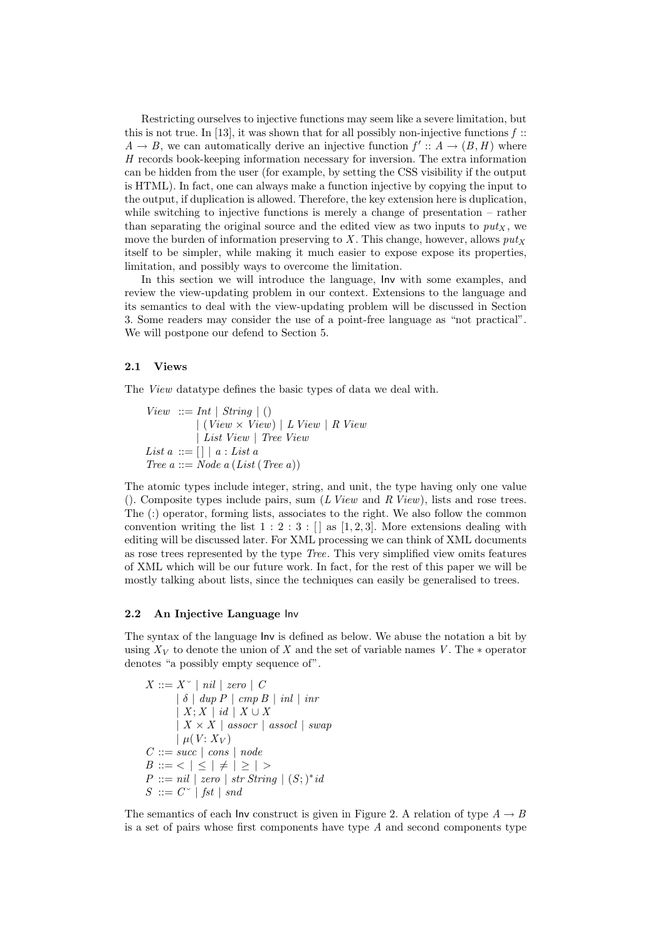Restricting ourselves to injective functions may seem like a severe limitation, but this is not true. In [13], it was shown that for all possibly non-injective functions  $f$ :  $A \to B$ , we can automatically derive an injective function  $f' :: A \to (B, H)$  where H records book-keeping information necessary for inversion. The extra information can be hidden from the user (for example, by setting the CSS visibility if the output is HTML). In fact, one can always make a function injective by copying the input to the output, if duplication is allowed. Therefore, the key extension here is duplication, while switching to injective functions is merely a change of presentation – rather than separating the original source and the edited view as two inputs to  $put_X$ , we move the burden of information preserving to  $X$ . This change, however, allows  $put_X$ itself to be simpler, while making it much easier to expose expose its properties, limitation, and possibly ways to overcome the limitation.

In this section we will introduce the language, Inv with some examples, and review the view-updating problem in our context. Extensions to the language and its semantics to deal with the view-updating problem will be discussed in Section 3. Some readers may consider the use of a point-free language as "not practical". We will postpone our defend to Section 5.

#### 2.1 Views

The View datatype defines the basic types of data we deal with.

 $View := Int \mid String \mid ()$  $\mid (View \times View) \mid L \; View \mid R \; View$ | List View | Tree View List  $a ::= [] | a : List a$ Tree  $a ::= Node \ a \ (List \ (Tree \ a))$ 

The atomic types include integer, string, and unit, the type having only one value (). Composite types include pairs, sum  $(L$  View and  $R$  View), lists and rose trees. The (:) operator, forming lists, associates to the right. We also follow the common convention writing the list  $1: 2: 3: []$  as  $[1, 2, 3]$ . More extensions dealing with editing will be discussed later. For XML processing we can think of XML documents as rose trees represented by the type Tree. This very simplified view omits features of XML which will be our future work. In fact, for the rest of this paper we will be mostly talking about lists, since the techniques can easily be generalised to trees.

#### 2.2 An Injective Language Inv

The syntax of the language Inv is defined as below. We abuse the notation a bit by using  $X_V$  to denote the union of X and the set of variable names V. The  $*$  operator denotes "a possibly empty sequence of".

$$
X ::= X^{\sim} | nil | zero | C
$$
  
\n
$$
|\delta | dup P | emp B | inl | inr
$$
  
\n
$$
| X; X | id | X \cup X
$$
  
\n
$$
| X \times X | assoc | assoc | swap
$$
  
\n
$$
|\mu(V: X_V)
$$
  
\n
$$
C ::= succ | cons | node
$$
  
\n
$$
B ::= \langle | \leq | \neq | \geq | \rangle
$$
  
\n
$$
P ::= nil | zero | str String | (S; )^* id
$$
  
\n
$$
S ::= C^{\sim} | fat | sand
$$

The semantics of each lnv construct is given in Figure 2. A relation of type  $A \rightarrow B$ is a set of pairs whose first components have type  $A$  and second components type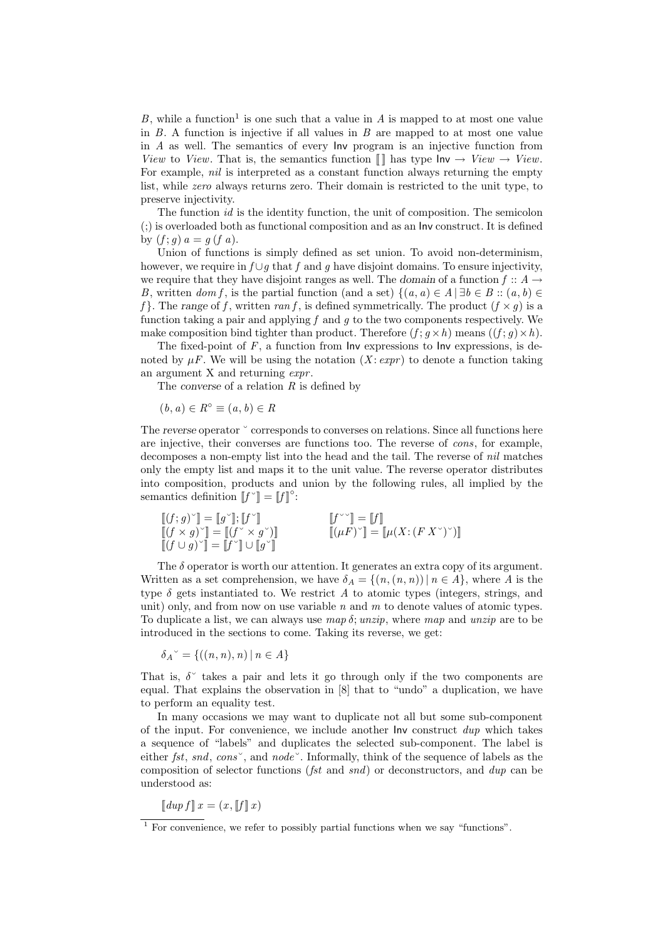B, while a function<sup>1</sup> is one such that a value in A is mapped to at most one value in  $B$ . A function is injective if all values in  $B$  are mapped to at most one value in A as well. The semantics of every Inv program is an injective function from View to View. That is, the semantics function  $\llbracket \rrbracket$  has type  $\text{Inv} \to View \to View$ . For example, *nil* is interpreted as a constant function always returning the empty list, while zero always returns zero. Their domain is restricted to the unit type, to preserve injectivity.

The function id is the identity function, the unit of composition. The semicolon (;) is overloaded both as functional composition and as an Inv construct. It is defined by  $(f; q) a = q (f a)$ .

Union of functions is simply defined as set union. To avoid non-determinism, however, we require in  $f \cup q$  that f and q have disjoint domains. To ensure injectivity, we require that they have disjoint ranges as well. The domain of a function  $f :: A \rightarrow$ B, written dom f, is the partial function (and a set)  $\{(a, a) \in A \mid \exists b \in B : (a, b) \in$ f }. The range of f, written ran f, is defined symmetrically. The product  $(f \times g)$  is a function taking a pair and applying  $f$  and  $g$  to the two components respectively. We make composition bind tighter than product. Therefore  $(f; g \times h)$  means  $((f; g) \times h)$ .

The fixed-point of  $F$ , a function from  $\text{Inv}$  expressions to  $\text{Inv}$  expressions, is denoted by  $\mu$ F. We will be using the notation  $(X: expr)$  to denote a function taking an argument  $X$  and returning  $\ell x \rho r$ .

The converse of a relation  $R$  is defined by

$$
(b, a) \in R^{\circ} \equiv (a, b) \in R
$$

The reverse operator  $\check{\phantom{\phi}}$  corresponds to converses on relations. Since all functions here are injective, their converses are functions too. The reverse of cons, for example, decomposes a non-empty list into the head and the tail. The reverse of nil matches only the empty list and maps it to the unit value. The reverse operator distributes into composition, products and union by the following rules, all implied by the semantics definition  $[[f^{\vee}]] = [[f]]^{\circ}$ :

$$
\begin{aligned}\n[[(f;g)^{\vee}] &= [g^{\vee}]; [f^{\vee}] \\
[[(f \times g)^{\vee}] &= [[(f^{\vee} \times g^{\vee})]] \\
[[(f \cup g)^{\vee}] &= [f^{\vee}] \cup [g^{\vee}] \\
\end{aligned}
$$
\n
$$
\begin{aligned}\n[[\mu]^{*} \circ \mathbb{I} = [f] \\
[[\mu]^{*} \circ \mathbb{I} = [f] \\
[[\mu]^{*} \circ \mathbb{I}] = [f \circ \mathbb{I} \circ \mathbb{I} \circ \mathbb{I}\circ \mathbb{I}\circ \mathbb{I}\circ \mathbb{I}\circ \mathbb{I}\circ \mathbb{I}\circ \mathbb{I}\circ \mathbb{I}\circ \mathbb{I}\circ \mathbb{I}\circ \mathbb{I}\circ \mathbb{I}\circ \mathbb{I}\circ \mathbb{I}\circ \mathbb{I}\circ \mathbb{I}\circ \mathbb{I}\circ \mathbb{I}\circ \mathbb{I}\circ \mathbb{I}\circ \mathbb{I}\circ \mathbb{I}\circ \mathbb{I}\circ \mathbb{I}\circ \mathbb{I}\circ \mathbb{I}\circ \mathbb{I}\circ \mathbb{I}\circ \mathbb{I}\circ \mathbb{I}\circ \mathbb{I}\circ \mathbb{I}\circ \mathbb{I}\circ \mathbb{I}\circ \mathbb{I}\circ \mathbb{I}\circ \mathbb{I}\circ \mathbb{I}\circ \mathbb{I}\circ \mathbb{I}\circ \mathbb{I}\circ \mathbb{I}\circ \mathbb{I}\circ \mathbb{I}\circ \mathbb{I}\circ \mathbb{I}\circ \mathbb{I}\circ \mathbb{I}\circ \mathbb{I}\circ \mathbb{I}\circ \mathbb{I}\circ \mathbb{I}\circ \mathbb{I}\circ \mathbb{I}\circ \mathbb{I}\circ \mathbb{I}\circ \mathbb{I}\circ \mathbb{I}\circ \mathbb{I}\circ \mathbb{I}\circ \mathbb{I}\circ \mathbb{I}\circ \mathbb{I}\circ \mathbb{I}\circ \mathbb{I}\circ \mathbb{I}\circ \mathbb{I}\circ \mathbb{I}\circ \mathbb{I}\circ \mathbb{I}\circ \mathbb{I}\circ \mathbb{I}\circ \mathbb{I}\circ \mathbb{I}\circ \mathbb{I}\circ \mathbb{I}\circ \mathbb{I}\circ \mathbb{I}\circ \mathbb{I}\circ \mathbb{I}\circ \mathbb{I}\circ \mathbb{I}\
$$

The  $\delta$  operator is worth our attention. It generates an extra copy of its argument. Written as a set comprehension, we have  $\delta_A = \{(n,(n,n)) | n \in A\}$ , where A is the type  $\delta$  gets instantiated to. We restrict A to atomic types (integers, strings, and unit) only, and from now on use variable  $n$  and  $m$  to denote values of atomic types. To duplicate a list, we can always use  $map \ \delta; unzip$ , where map and unzip are to be introduced in the sections to come. Taking its reverse, we get:

$$
\delta_A \breve{=} = \{ ((n, n), n) \mid n \in A \}
$$

That is,  $\delta^{\circ}$  takes a pair and lets it go through only if the two components are equal. That explains the observation in [8] that to "undo" a duplication, we have to perform an equality test.

In many occasions we may want to duplicate not all but some sub-component of the input. For convenience, we include another  $\ln v$  construct  $\frac{du}{v}$  which takes a sequence of "labels" and duplicates the selected sub-component. The label is either fst, snd, cons<sup> $\check{ }$ </sup>, and node $\check{ }$ . Informally, think of the sequence of labels as the composition of selector functions (fst and snd) or deconstructors, and dup can be understood as:

$$
[[dup f]] x = (x, [[f]] x)
$$

 $1$  For convenience, we refer to possibly partial functions when we say "functions".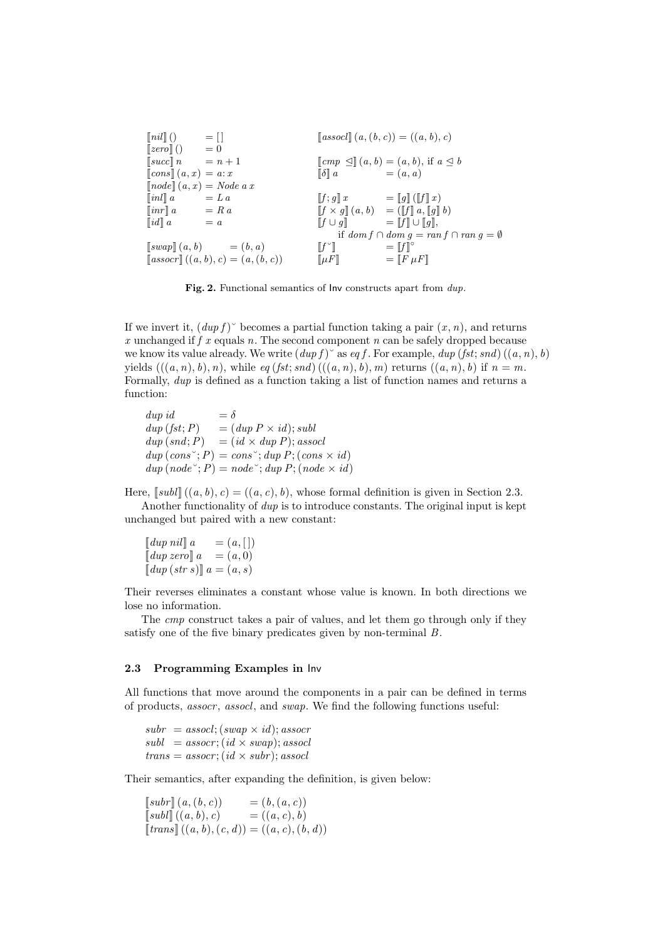| $\llbracket nil \rrbracket$ ()                        | $=$ []                                       |                                | $[assoc1] (a, (b, c)) = ((a, b), c)$                                         |
|-------------------------------------------------------|----------------------------------------------|--------------------------------|------------------------------------------------------------------------------|
| $\llbracket zero \rrbracket$ () = 0                   |                                              |                                |                                                                              |
| $\lceil succ\rceil n = n+1$                           |                                              |                                | $\llbracket cmp \preceq \rrbracket (a, b) = (a, b), \text{ if } a \preceq b$ |
| $\llbracket cons \rrbracket (a, x) = a : x$           |                                              | $\ \delta\ a$                  | $=(a,a)$                                                                     |
| $\llbracket node \rrbracket (a, x) = Node a x$        |                                              |                                |                                                                              |
| $\left[\begin{matrix} inl \end{matrix}\right] a = La$ |                                              | $\ f; g\  x = \ g\  (\ f\  x)$ |                                                                              |
| $\lceil \operatorname{inr} \rceil a = R a$            |                                              |                                | $[[f \times g]](a, b) = ([f] [a, [g] [b])$                                   |
| $\llbracket id \rrbracket$ a                          | $= a$                                        | $\ f \cup q\ $                 | $=$ $\llbracket f \rrbracket \cup \llbracket g \rrbracket$ ,                 |
|                                                       |                                              |                                | if $dom f \cap dom g = ran f \cap ran g = \emptyset$                         |
|                                                       | $\llbracket swap \rrbracket (a, b) = (b, a)$ | $\ f^{\circ}\ $                | $=$ $\llbracket f \rrbracket^{\circ}$                                        |
|                                                       | $[assert] ((a, b), c) = (a, (b, c))$         | $\llbracket \mu F \rrbracket$  | $=$ $\left[$ $F$ $\mu$ $F$ $\right]$                                         |

Fig. 2. Functional semantics of lnv constructs apart from  $dup$ .

If we invert it,  $(dup f)$ <sup> $\circ$ </sup> becomes a partial function taking a pair  $(x, n)$ , and returns x unchanged if  $f \, x$  equals  $n$ . The second component  $n$  can be safely dropped because we know its value already. We write  $(\text{dup } f)$ <sup> $\circ$ </sup> as eq f. For example,  $\text{dup }(fst; \text{snd})$   $((a, n), b)$ yields  $(((a, n), b), n)$ , while eq  $(fst; snd)$   $(((a, n), b), m)$  returns  $((a, n), b)$  if  $n = m$ . Formally, dup is defined as a function taking a list of function names and returns a function:

dup id  $= \delta$  $dup (fst; P) = (dup P \times id); subl$  $dup (snd; P) = (id \times dup P); assocl$  $dup (cons^{\sim}; P) = cons^{\sim}; dup P; (cons \times id)$  $dup (node \check{ } ; P) = node \check{ } ; dup P ; (node \times id)$ 

Here,  $\llbracket \text{subl} \rrbracket ((a, b), c) = ((a, c), b)$ , whose formal definition is given in Section 2.3. Another functionality of dup is to introduce constants. The original input is kept unchanged but paired with a new constant:

 $\llbracket \text{dup } \text{nil} \rrbracket \text{ a } = (a, [])$  $\llbracket dup \text{ zero} \rrbracket a = (a, 0)$  $\llbracket \text{dup } (\text{str } s) \rrbracket \text{ a } = (a, s)$ 

Their reverses eliminates a constant whose value is known. In both directions we lose no information.

The *cmp* construct takes a pair of values, and let them go through only if they satisfy one of the five binary predicates given by non-terminal B.

## 2.3 Programming Examples in Inv

All functions that move around the components in a pair can be defined in terms of products, assocr , assocl, and swap. We find the following functions useful:

 $subr = assocl; (swap \times id); assocr$  $subl = assoc$ ; (id  $\times swap$ ); assocl  $trans = assoc: (id \times subr): assocl$ 

Their semantics, after expanding the definition, is given below:

 $[\![subr ]\!] (a, (b, c)) = (b, (a, c))$  $[subr](a, (b, c)) = (b, (a, c))$ <br>  $[subl]((a, b), c) = ((a, c), b)$  $[trans] ((a, b), (c, d)) = ((a, c), (b, d))$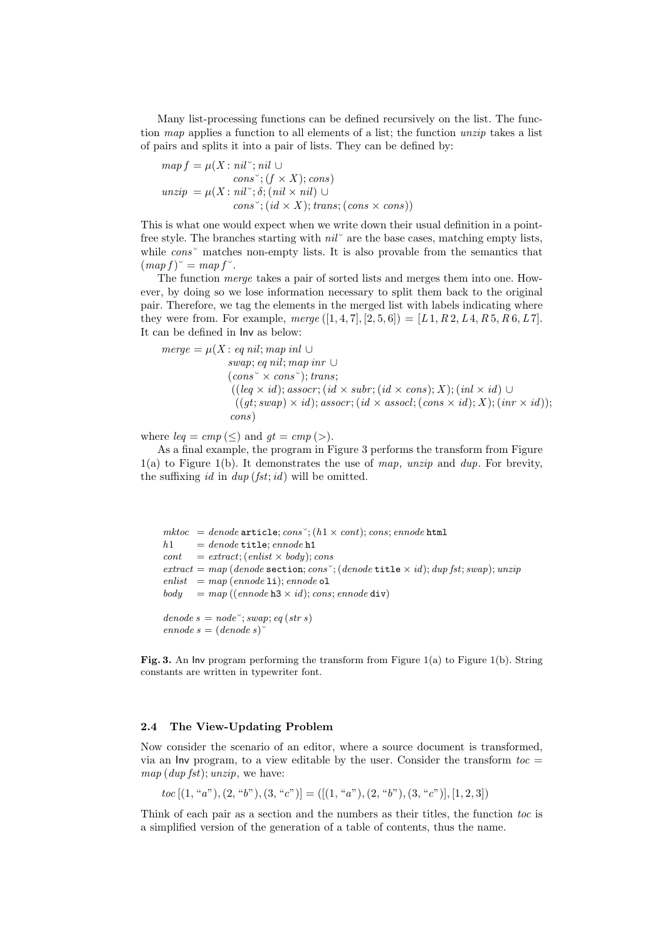Many list-processing functions can be defined recursively on the list. The function map applies a function to all elements of a list; the function unzip takes a list of pairs and splits it into a pair of lists. They can be defined by:

$$
map f = \mu(X: nil\breve{ }; nil \cup
$$
  
\n
$$
cons\breve{ }; (f \times X); cons)
$$
  
\n
$$
unzip = \mu(X: nil\breve{ }; \delta; (nil \times nil) \cup
$$
  
\n
$$
cons\breve{ }; (id \times X); trans; (cons \times cons))
$$

This is what one would expect when we write down their usual definition in a pointfree style. The branches starting with  $nil^{\sim}$  are the base cases, matching empty lists, while  $\cos$ <sup> $\circ$ </sup> matches non-empty lists. It is also provable from the semantics that  $(map f)^{\circ} = map f^{\circ}.$ 

The function merge takes a pair of sorted lists and merges them into one. However, by doing so we lose information necessary to split them back to the original pair. Therefore, we tag the elements in the merged list with labels indicating where they were from. For example, merge  $([1, 4, 7], [2, 5, 6]) = [L1, R2, L4, R5, R6, L7].$ It can be defined in Inv as below:

$$
merge = \mu(X : eq \text{ nil}; map \text{ ind } \cup
$$
  
\n
$$
swap; eq \text{ nil}; map \text{ inv } \cup
$$
  
\n
$$
(cons \times cons \text{''}); trans;
$$
  
\n
$$
((leq \times id); assoc; (id \times subr; (id \times cons); X); (ind \times id) \cup
$$
  
\n
$$
((gt; swap) \times id); assoc; (id \times associ; (cons \times id); X); (inr \times id));
$$
  
\ncons)

where  $leq = cmp \, (<)$  and  $qt = cmp \, (>).$ 

As a final example, the program in Figure 3 performs the transform from Figure  $1(a)$  to Figure 1(b). It demonstrates the use of map, unzip and dup. For brevity, the suffixing id in  $dup(fst; id)$  will be omitted.

```
mktoc = denote \text{article}; cons^*; (h1 \times cont); cons; ennode \text{html}h1 = denode title; ennode h1
\text{cont} = \text{extract}; (enlist \times \text{ body}); cons
extract = map (denode section; cons^*; (denode title \times id); dupfst; swap); unzipenlist = map (ennode \text{li}; ennode \text{o}1body = map ((ennode h3 \times id); cons; ennode div)
denode s = node<sup>\check{ }</sup>; swap; eq (str s)
ennode s = (denode s)^{s}
```
Fig. 3. An Inv program performing the transform from Figure 1(a) to Figure 1(b). String constants are written in typewriter font.

#### 2.4 The View-Updating Problem

Now consider the scenario of an editor, where a source document is transformed, via an Inv program, to a view editable by the user. Consider the transform  $\text{toc} =$  $map (dup fst); unzip, we have:$ 

$$
toc [(1, "a"), (2, "b"), (3, "c")] = ([(1, "a"), (2, "b"), (3, "c")], [1, 2, 3])
$$

Think of each pair as a section and the numbers as their titles, the function toc is a simplified version of the generation of a table of contents, thus the name.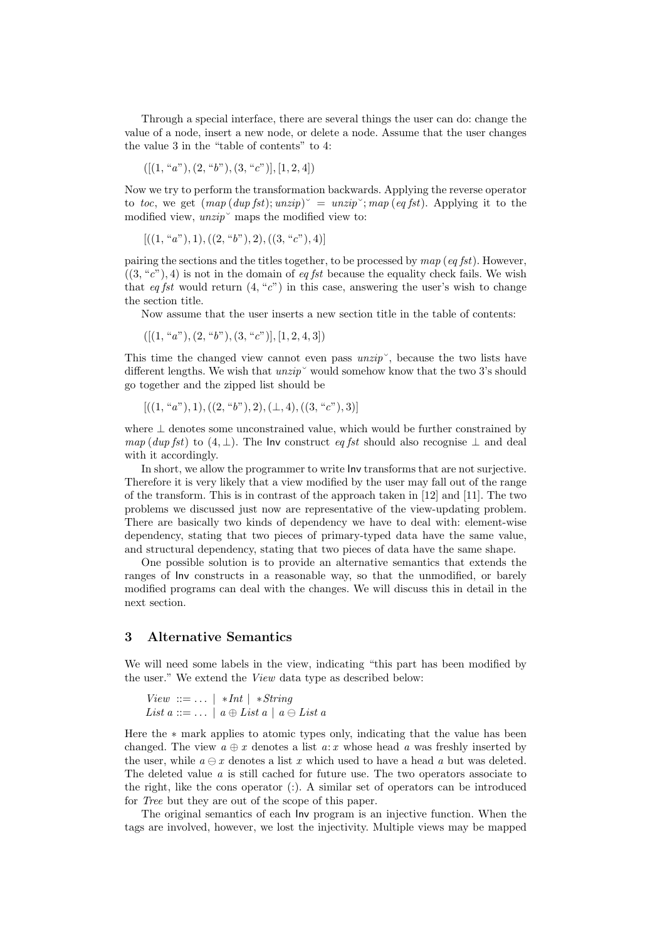Through a special interface, there are several things the user can do: change the value of a node, insert a new node, or delete a node. Assume that the user changes the value 3 in the "table of contents" to 4:

$$
([(1, "a"), (2, "b"), (3, "c"), [1, 2, 4])
$$

Now we try to perform the transformation backwards. Applying the reverse operator to toc, we get  $(map (dup \, fst); unzip)$ <sup> $\sim$ </sup> = unzip $\sim$ ; map (eq fst). Applying it to the modified view,  $unzip \degree$  maps the modified view to:

$$
[((1, "a"), 1), ((2, "b"), 2), ((3, "c"), 4)]
$$

pairing the sections and the titles together, to be processed by  $map (eq fst)$ . However,  $((3, "c"), 4)$  is not in the domain of *eq fst* because the equality check fails. We wish that eq fst would return  $(4, "c")$  in this case, answering the user's wish to change the section title.

Now assume that the user inserts a new section title in the table of contents:

$$
((1, "a"), (2, "b"), (3, "c"), [1, 2, 4, 3])
$$

This time the changed view cannot even pass  $unzip \check{ }$ , because the two lists have different lengths. We wish that  $unzip \check{ }$  would somehow know that the two 3's should go together and the zipped list should be

$$
[((1, "a"), 1), ((2, "b"), 2), (\perp, 4), ((3, "c"), 3)]
$$

where ⊥ denotes some unconstrained value, which would be further constrained by map (dup fst) to  $(4, \perp)$ . The Inv construct eq fst should also recognise  $\perp$  and deal with it accordingly.

In short, we allow the programmer to write Inv transforms that are not surjective. Therefore it is very likely that a view modified by the user may fall out of the range of the transform. This is in contrast of the approach taken in [12] and [11]. The two problems we discussed just now are representative of the view-updating problem. There are basically two kinds of dependency we have to deal with: element-wise dependency, stating that two pieces of primary-typed data have the same value, and structural dependency, stating that two pieces of data have the same shape.

One possible solution is to provide an alternative semantics that extends the ranges of Inv constructs in a reasonable way, so that the unmodified, or barely modified programs can deal with the changes. We will discuss this in detail in the next section.

## 3 Alternative Semantics

We will need some labels in the view, indicating "this part has been modified by the user." We extend the View data type as described below:

 $View ::= \ldots \mid *Int \mid *String$ List  $a ::= ... \mid a \oplus List \ a \mid a \ominus List \ a$ 

Here the ∗ mark applies to atomic types only, indicating that the value has been changed. The view  $a \oplus x$  denotes a list  $a: x$  whose head a was freshly inserted by the user, while  $a \ominus x$  denotes a list x which used to have a head a but was deleted. The deleted value a is still cached for future use. The two operators associate to the right, like the cons operator (:). A similar set of operators can be introduced for Tree but they are out of the scope of this paper.

The original semantics of each Inv program is an injective function. When the tags are involved, however, we lost the injectivity. Multiple views may be mapped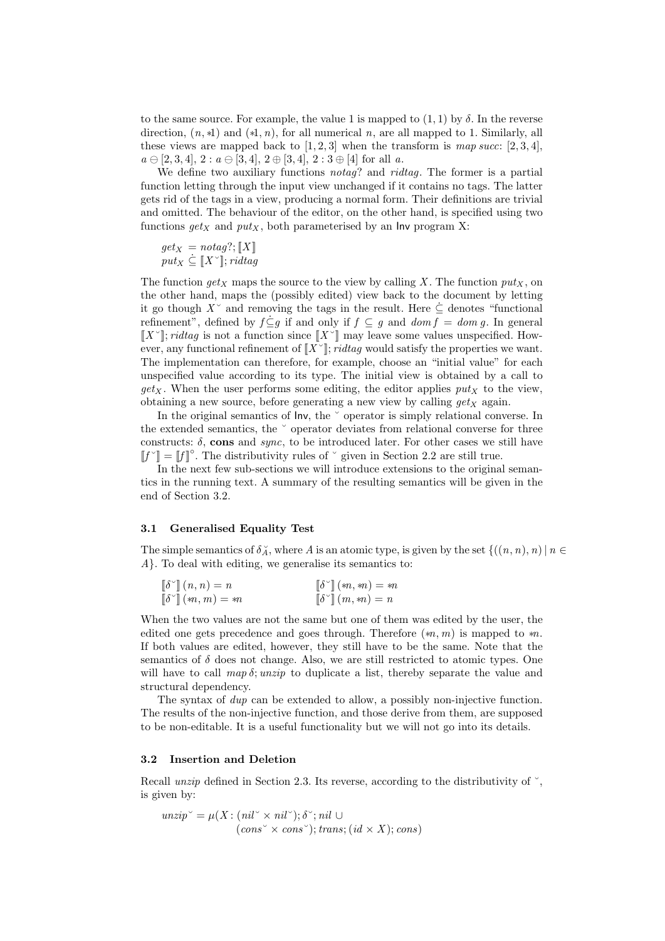to the same source. For example, the value 1 is mapped to  $(1, 1)$  by  $\delta$ . In the reverse direction,  $(n, *1)$  and  $(*1, n)$ , for all numerical n, are all mapped to 1. Similarly, all these views are mapped back to  $[1, 2, 3]$  when the transform is map succ:  $[2, 3, 4]$ ,  $a \ominus [2, 3, 4], 2 : a \ominus [3, 4], 2 \oplus [3, 4], 2 : 3 \oplus [4]$  for all a.

We define two auxiliary functions *notag*? and *ridtag*. The former is a partial function letting through the input view unchanged if it contains no tags. The latter gets rid of the tags in a view, producing a normal form. Their definitions are trivial and omitted. The behaviour of the editor, on the other hand, is specified using two functions  $get_X$  and  $put_X$ , both parameterised by an Inv program X:

 $get_X = notag?$ ;  $\llbracket X \rrbracket$  $put_X \subseteq [X^\sim];$  ridtag

The function  $get_X$  maps the source to the view by calling X. The function  $put_X$ , on the other hand, maps the (possibly edited) view back to the document by letting it go though  $X^{\circ}$  and removing the tags in the result. Here  $\subseteq$  denotes "functional refinement", defined by  $f \subseteq g$  if and only if  $f \subseteq g$  and  $dom f = dom g$ . In general  $[[X\degree]]$ ; ridtag is not a function since  $[[X\degree]]$  may leave some values unspecified. However, any functional refinement of  $[X^{\vee}]$ ; *ridtag* would satisfy the properties we want. The implementation can therefore, for example, choose an "initial value" for each unspecified value according to its type. The initial view is obtained by a call to  $qet_X$ . When the user performs some editing, the editor applies  $put_X$  to the view, obtaining a new source, before generating a new view by calling  $get_X$  again.

In the original semantics of lnv, the  $\degree$  operator is simply relational converse. In the extended semantics, the ˘ operator deviates from relational converse for three constructs:  $\delta$ , cons and sync, to be introduced later. For other cases we still have  $[[f^{\circ}]] = [[f]]^{\circ}$ . The distributivity rules of  $\check{\ }$  given in Section 2.2 are still true.

In the next few sub-sections we will introduce extensions to the original semantics in the running text. A summary of the resulting semantics will be given in the end of Section 3.2.

#### 3.1 Generalised Equality Test

The simple semantics of  $\delta_A^{\vee}$ , where A is an atomic type, is given by the set  $\{(n, n), n\}$   $n \in \mathbb{Z}$ A}. To deal with editing, we generalise its semantics to:

| $\llbracket \delta^\circ \rrbracket (n, n) = n$    | $\llbracket \delta^\vee \rrbracket$ $(*n, *n) = *n$ |
|----------------------------------------------------|-----------------------------------------------------|
| $\llbracket \delta^\vee \rrbracket$ $(*n, m) = *n$ | $\llbracket \delta^\vee \rrbracket (m, m) = n$      |

When the two values are not the same but one of them was edited by the user, the edited one gets precedence and goes through. Therefore  $(*n, m)$  is mapped to  $*n$ . If both values are edited, however, they still have to be the same. Note that the semantics of  $\delta$  does not change. Also, we are still restricted to atomic types. One will have to call  $map \delta$ ; unzip to duplicate a list, thereby separate the value and structural dependency.

The syntax of *dup* can be extended to allow, a possibly non-injective function. The results of the non-injective function, and those derive from them, are supposed to be non-editable. It is a useful functionality but we will not go into its details.

### 3.2 Insertion and Deletion

Recall unzip defined in Section 2.3. Its reverse, according to the distributivity of  $\check{\phantom{a}}$ , is given by:

$$
unzip^{\sim} = \mu(X : (nil^{\sim} \times nil^{\sim}); \delta^{\sim}; nil \cup
$$
  

$$
(cons^{\sim} \times cons^{\sim})
$$
; trans;  $(id \times X)$ ; cons)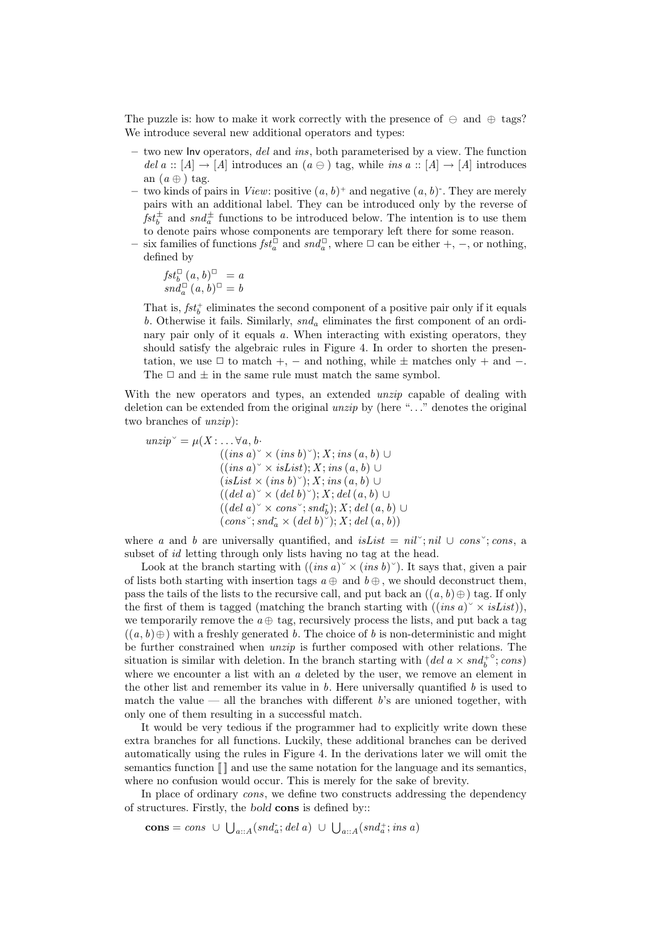The puzzle is: how to make it work correctly with the presence of  $\ominus$  and  $\oplus$  tags? We introduce several new additional operators and types:

- $-$  two new Inv operators, del and ins, both parameterised by a view. The function del a ::  $[A] \rightarrow [A]$  introduces an  $(a \ominus)$  tag, while ins  $a$  ::  $[A] \rightarrow [A]$  introduces an  $(a \oplus)$  tag.
- two kinds of pairs in *View*: positive  $(a, b)^+$  and negative  $(a, b)^-$ . They are merely pairs with an additional label. They can be introduced only by the reverse of  $fst_b^{\pm}$  and  $snd_a^{\pm}$  functions to be introduced below. The intention is to use them to denote pairs whose components are temporary left there for some reason.
- $-$  six families of functions  $fst_a^{\square}$  and  $snd_a^{\square}$ , where  $\square$  can be either +, −, or nothing, defined by

$$
fst_b^{\Box}(a, b)^{\Box} = a
$$
  

$$
snd_a^{\Box}(a, b)^{\Box} = b
$$

That is,  $fst_b^+$  eliminates the second component of a positive pair only if it equals b. Otherwise it fails. Similarly,  $snd_a$  eliminates the first component of an ordinary pair only of it equals a. When interacting with existing operators, they should satisfy the algebraic rules in Figure 4. In order to shorten the presentation, we use  $\Box$  to match +, − and nothing, while  $\pm$  matches only + and −. The  $\Box$  and  $\pm$  in the same rule must match the same symbol.

With the new operators and types, an extended *unzip* capable of dealing with deletion can be extended from the original unzip by (here ". . ." denotes the original two branches of unzip):

$$
unzip^{\vee} = \mu(X : \dots \forall a, b \cdot \big( (ins a)^{\vee} \times (ins b)^{\vee}); X; ins (a, b) \cup \big( (ins a)^{\vee} \times isList); X; ins (a, b) \cup \big( (isList \times (ins b)^{\vee}); X; ins (a, b) \cup \big( (del a)^{\vee} \times (del b)^{\vee}); X; del (a, b) \cup \big( (del a)^{\vee} \times cons^{\vee}; snd_b^{\vee}); X; del (a, b) \cup \big( cons^{\vee}; snd_a^{\vee} \times (del b)^{\vee}); X; del (a, b) \big)
$$

where a and b are universally quantified, and  $isList = nil\degree; nil \cup cons\degree; cons, a$ subset of *id* letting through only lists having no tag at the head.

Look at the branch starting with  $((ins a)^\vee \times (ins b)^\vee)$ . It says that, given a pair of lists both starting with insertion tags  $a \oplus$  and  $b \oplus$ , we should deconstruct them, pass the tails of the lists to the recursive call, and put back an  $((a, b) \oplus)$  tag. If only the first of them is tagged (matching the branch starting with  $((ins a)^{\sim} \times isList))$ , we temporarily remove the  $a \oplus \text{ tag}$ , recursively process the lists, and put back a tag  $((a, b) \oplus)$  with a freshly generated b. The choice of b is non-deterministic and might be further constrained when unzip is further composed with other relations. The situation is similar with deletion. In the branch starting with  $\left(\text{del } a \times \text{snd}^+_b\right)$  $\degree$ ; cons) where we encounter a list with an  $\alpha$  deleted by the user, we remove an element in the other list and remember its value in  $b$ . Here universally quantified  $b$  is used to match the value — all the branches with different  $b$ 's are unioned together, with only one of them resulting in a successful match.

It would be very tedious if the programmer had to explicitly write down these extra branches for all functions. Luckily, these additional branches can be derived automatically using the rules in Figure 4. In the derivations later we will omit the semantics function  $\llbracket \cdot \rrbracket$  and use the same notation for the language and its semantics, where no confusion would occur. This is merely for the sake of brevity.

In place of ordinary *cons*, we define two constructs addressing the dependency of structures. Firstly, the bold cons is defined by::

**cons** = cons 
$$
\cup \bigcup_{a::A} (snd_a^*; del a) \cup \bigcup_{a::A} (snd_a^*; ins a)
$$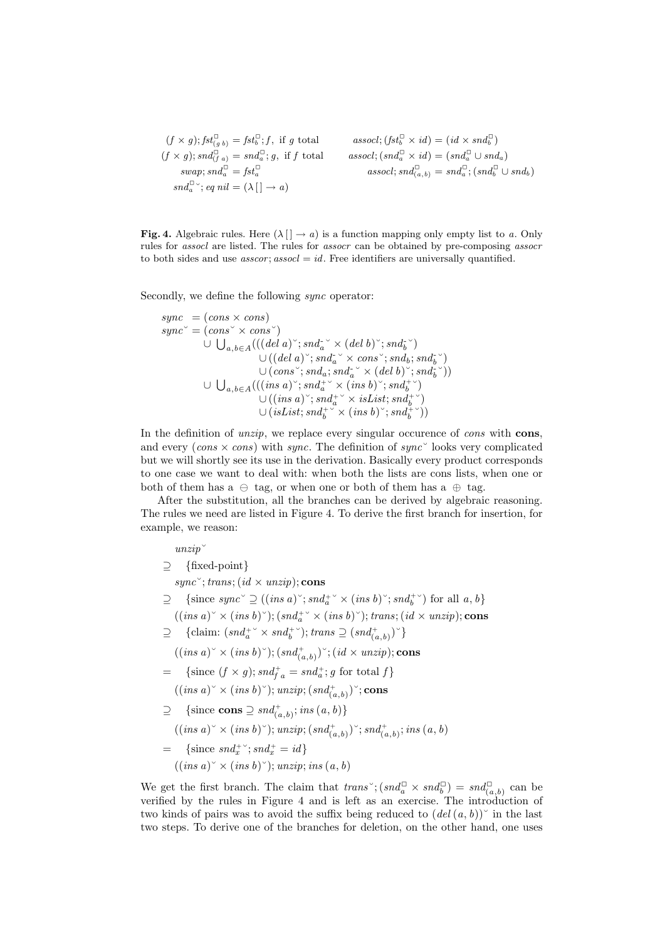$$
(f \times g); fst_{(g \ b)}^{\Box} = fst_b^{\Box}; f, \text{ if } g \text{ total} \qquad \text{assoc}; (fst_b^{\Box} \times id) = (id \times \text{snd}_b^{\Box})
$$
  
\n
$$
(f \times g); \text{snd}_{(f \ a)}^{\Box} = \text{snd}_{\alpha}^{\Box}; g, \text{ if } f \text{ total} \qquad \text{assoc}; (\text{snd}_{\alpha}^{\Box} \times id) = (\text{snd}_{\alpha}^{\Box} \cup \text{snd}_{a})
$$
  
\n
$$
\text{swap}; \text{snd}_{\alpha}^{\Box} = \text{fst}_{\alpha}^{\Box} \qquad \text{assoc}; \text{snd}_{(\alpha, b)}^{\Box} = \text{snd}_{\alpha}^{\Box}; (\text{snd}_{b}^{\Box} \cup \text{snd}_{b})
$$
  
\n
$$
\text{snd}_{\alpha}^{\Box} \cdot ; \text{eq} \text{ nil} = (\lambda [] \rightarrow a)
$$

Fig. 4. Algebraic rules. Here  $(\lambda \mid \cdot) \to a)$  is a function mapping only empty list to a. Only rules for assocl are listed. The rules for assocr can be obtained by pre-composing assocr to both sides and use *asscor*;  $assocl = id$ . Free identifiers are universally quantified.

Secondly, we define the following sync operator:

$$
sync = (cons \times cons)
$$
  
\n
$$
sync^{\times} = (cons^{\times} \times cons^{\times})
$$
  
\n
$$
\cup \bigcup_{a,b \in A} (((del a)^{\times};snd_{a}^{\sim} \times (del b)^{\sim}; std_{b}^{\sim})
$$
  
\n
$$
\cup ((del a)^{\times};snd_{a}^{\sim} \times cons^{\times}; std_{b}; snd_{b}^{\sim})
$$
  
\n
$$
\cup (cons^{\sim}; snd_{a}; snd_{a}^{\sim} \times (del b)^{\sim}; snd_{b}^{\sim}) )
$$
  
\n
$$
\cup \bigcup_{a,b \in A} (((ins a)^{\sim}; sid_{a}^{\sim} \times (ins b)^{\sim}; std_{b}^{\sim}) )
$$
  
\n
$$
\cup ((ins a)^{\sim}; std_{a}^{\sim} \times (isList; snd_{b}^{\sim}) )
$$
  
\n
$$
\cup (isList; salt_{b}^{\sim} \times (ins b)^{\sim}; snd_{b}^{\sim}) )
$$

In the definition of *unzip*, we replace every singular occurence of *cons* with **cons**, and every (cons  $\times$  cons) with sync. The definition of sync<sup> $\sim$ </sup> looks very complicated but we will shortly see its use in the derivation. Basically every product corresponds to one case we want to deal with: when both the lists are cons lists, when one or both of them has a  $\oplus$  tag, or when one or both of them has a  $\oplus$  tag.

After the substitution, all the branches can be derived by algebraic reasoning. The rules we need are listed in Figure 4. To derive the first branch for insertion, for example, we reason:

$$
unzip^{\checkmark}
$$
  
\n
$$
\supseteq \{ \text{fixed-point} \}
$$
  
\n
$$
sync^{\checkmark}; trans; (id \times unzip); \text{cons}
$$
  
\n
$$
\supseteq \{ \text{since } sync^{\checkmark} \supseteq ((ins a)^{\checkmark}; std_{a}^{+} \times (ins b)^{\checkmark}; snd_{b}^{+} \checkmark) \text{ for all } a, b \}
$$
  
\n
$$
((ins a)^{\checkmark} \times (ins b)^{\checkmark}); (snd_{a}^{+} \times (ins b)^{\checkmark}); trans; (id \times unzip); \text{cons}
$$
  
\n
$$
\supseteq \{ \text{claim}: (snd_{a}^{+} \times snd_{b}^{+} \checkmark); trans \supseteq (snd_{a,b}^{+})^{\checkmark} \}
$$
  
\n
$$
((ins a)^{\checkmark} \times (ins b)^{\checkmark}); (snd_{(a,b)}^{+})^{\checkmark}; (id \times unzip); \text{cons}
$$
  
\n
$$
= \{ \text{since } (f \times g); snd_{f a}^{+} = snd_{a}^{+}; g \text{ for total } f \}
$$
  
\n
$$
((ins a)^{\checkmark} \times (ins b)^{\checkmark}); unzip; (snd_{(a,b)}^{+})^{\checkmark}; \text{cons}
$$
  
\n
$$
\supseteq \{ \text{since } \text{cons } \supseteq snd_{(a,b)}^{+}; ins (a, b) \}
$$
  
\n
$$
((ins a)^{\checkmark} \times (ins b)^{\checkmark}); unzip; (snd_{(a,b)}^{+})^{\checkmark}; snd_{(a,b)}^{+}; ins (a, b)
$$
  
\n
$$
= \{ \text{since } snd_{x}^{+}^{\checkmark}; sal_{x}^{+} = id \}
$$
  
\n
$$
((ins a)^{\checkmark} \times (ins b)^{\checkmark}); unzip; ins (a, b)
$$

We get the first branch. The claim that  $trans$ ;  $(snd_a^{\Box} \times snd_b^{\Box}) = snd_{(a,b)}^{\Box}$  can be verified by the rules in Figure 4 and is left as an exercise. The introduction of two kinds of pairs was to avoid the suffix being reduced to  $\left(\text{del}(a, b)\right)$ <sup> $\circ$ </sup> in the last two steps. To derive one of the branches for deletion, on the other hand, one uses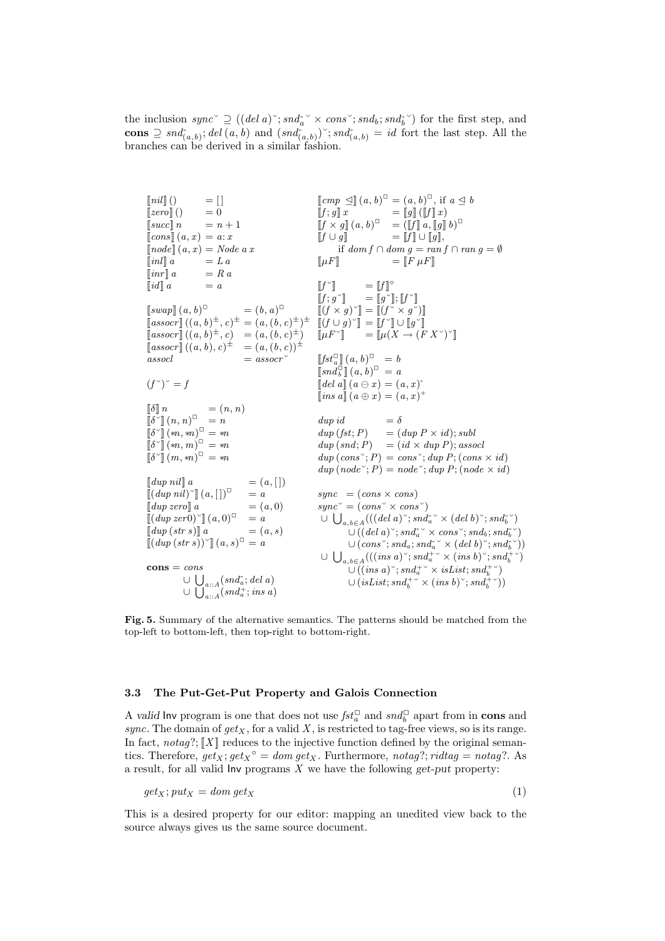the inclusion  $sync^{\prime} \supseteq ((del\ a)^{\prime};snd\_a^{\prime} \times cons^{\prime};snd\_b;snd\_a^{\prime})$  for the first step, and cons  $\supseteq \textit{snd}^{-}_{(a,b)}$ ; del  $(a, b)$  and  $(\textit{snd}^{-}_{(a,b)})$ ; snd<sub> $(a, b)$ </sub> = id fort the last step. All the branches can be derived in a similar fashion.

 $\lceil \lceil \text{nil} \rceil \rceil$  () =  $\lceil \rceil$  $\llbracket zero \rrbracket$  () = 0  $\lceil succ\rceil n = n+1$  $\llbracket cons \rrbracket (a, x) = a : x$  $\llbracket node \rrbracket (a, x) = Node a x$  $\left[\!\left[ \text{inl} \right]\!\right]$  a  $= L a$  $\overline{[\hspace{0.1cm}i\hspace{0.1cm}n\hspace{0.1cm}r\hspace{0.1cm}]}$  a = R a  $\lbrack id \rbrack a = a$  $\llbracket swap \rrbracket (a, b)$  $=(b,a)^{\Box}$  $[assoc] ((a, b)^{\pm}, c)^{\pm} = (a, (b, c)^{\pm})^{\pm}$  $[assoc] ((a, b)^{\pm}, c) = (a, (b, c)^{\pm})$  $[assoc] ((a, b), c)^{\pm} = (a, (b, c))^{\pm}$  $assocl = assocr$  $(f^{\vee})^{\vee} = f$  $\llbracket \delta \rrbracket n$  =  $(n, n)$  $\llbracket \delta^\smallsmile \rrbracket (n, n)^\Box = n$  $\llbracket \delta^\smallsmile \rrbracket \, (*n, *n)^\square = *n$  $\llbracket \delta^\smallsmile \rrbracket \, (*n, m)^\square = *n$  $\llbracket \delta^\smallsmile \rrbracket \, (m, \ast\! n)^\square = \ast\! n$  $\llbracket \text{dup } \text{nil} \rrbracket \text{ a } = (a, [])$  $[\![(\textit{dup nil})\text{\texttt{`}}\,]\,]\,(\textit{a},[{\,}]\text{\texttt{`}}\,]\qquad=\,a$  $[[\text{dup zero}]]a = (a, 0)$  $\left[ (dup \, zero)^{\sim} \right] (a, 0)^{\square} = a$  $\llbracket \text{dup } (\text{str } s) \rrbracket \text{ a } = (a, s)$  $\llbracket (dup (str s))^{\circ} \rrbracket (a, s)^{\square} = a$  $cons = cons$  $\cup \bigcup_{a::A} (snd_a; del a)$  $\cup \bigcup_{a::A} (snd_a^+; ins\ a)$  $\llbracket \text{cmp } \trianglelefteq \rrbracket (a, b)^{\square} = (a, b)^{\square}, \text{if } a \trianglelefteq b$  $[f; g] x = [g] ([f] x)$  $[[f \times g]](a, b)$ <sup> $\Box$ </sup> =  $([[f] \hat{a}, [[g] \hat{b})$ <sup> $\Box$ </sup>  $\llbracket f \cup g \rrbracket \qquad \qquad = \llbracket f \rrbracket \cup \llbracket g \rrbracket,$ if  $dom f \cap dom g = ran f \cap ran g = \emptyset$  $\llbracket \mu F \rrbracket$  =  $\lbrack \lbrack F \mu F \rbrack$  $[f^{\circ}]$  =  $[f]^{\circ}$  $\llbracket f;g^\smallsmile \rrbracket \qquad = \llbracket g^\smallsmile \rrbracket ; \llbracket f^\smallsmile \rrbracket$  $\llbracket (f \times g)^\sim \rrbracket = \llbracket (f^\circ \times g^\circ) \rrbracket$  $[[(f \cup g)^{\check{}}] = [f^{\check{}}] \cup [g^{\check{}}]$  $\llbracket \mu F \urcorner \rrbracket = \llbracket \mu(X \to (F X \urcorner) \urcorner \rrbracket)$  $[[fst_a^{\square}](a, b)^{\square} = b$  $[\![snd_b^{\Box}]\!](a,b)^{\Box} = a$  $\overline{\left[\begin{smallmatrix} d\operatorname{el} & a \end{smallmatrix}\right]}$   $(a \ominus x) = (a, x)^{-1}$  $\llbracket ins a \rrbracket (a \oplus x) = (a, x)^+$ dup id  $= \delta$ <br>dup (fst; P)  $= (\epsilon$  $= (dup P \times id); subl$  $dup (snd; P) = (id \times dup P); assocl$  $dup (cons^{\sim}; P) = cons^{\sim}; dup P; (cons \times id)$  $dup (node \check{ } ; P) = node \check{ } ; dup P ; (node \times id)$  $sync = (cons \times cons)$  $sync^{\sim} = (cons^{\sim} \times cons^{\sim})$  $\bigcup_{a,b\in A} (((del\ a)\ \breve{},\, \dot{snd_a}\ \breve{~~} \times (del\ b)\ \breve{~~},\, \dot{snd_b}\ \breve{~~})$  $\cup ((del\ a)\,\breve{}\,;snd_a^{\sim} \times cons\,\breve{}\,;snd_b;snd_b^{\sim})$  $\cup \left( cons^\smallsmile; snd_a; snd_a^\smallsmile \times (del\ b)^\smallsmile; snd_b^\smallsmile) \right)$  $\cup \bigcup_{a,b \in A} (((ins a)^{\sim};snd_a^{+\sim} \times (ins b)^{\sim};snd_b^{+\sim})$  $\cup$   $((ins\ a)^\backsim;snd^{+\backsim}_a \times isList;snd^{+\backsim}_b)$  $\cup$   $(isList;snd^{+\sim}_b \times (ins\ b)^\sim;snd^{+\sim}_b))$ 

Fig. 5. Summary of the alternative semantics. The patterns should be matched from the top-left to bottom-left, then top-right to bottom-right.

### 3.3 The Put-Get-Put Property and Galois Connection

A valid lnv program is one that does not use  $fst_a^{\square}$  and  $snd_b^{\square}$  apart from in **cons** and sync. The domain of  $get_X$ , for a valid X, is restricted to tag-free views, so is its range. In fact,  $\text{not} \text{aq?}; \llbracket X \rrbracket$  reduces to the injective function defined by the original semantics. Therefore,  $get_X$ ;  $get_X^{\circ} = dom get_X$ . Furthermore, notag?; ridtag = notag?. As a result, for all valid  $Inv$  programs  $X$  we have the following get-put property:

$$
get_X; put_X = dom\ get_X \tag{1}
$$

This is a desired property for our editor: mapping an unedited view back to the source always gives us the same source document.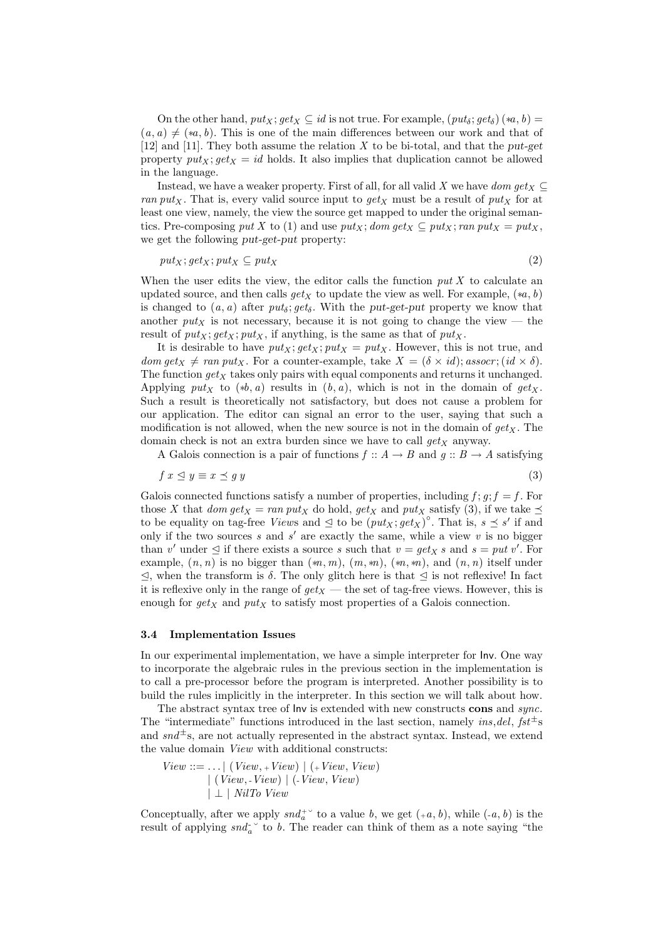On the other hand,  $put_X; get_X \subseteq id$  is not true. For example,  $(put_\delta; get_\delta)(*a, b) =$  $(a, a) \neq (*a, b)$ . This is one of the main differences between our work and that of [12] and [11]. They both assume the relation X to be bi-total, and that the put-get property  $put_X$ ;  $get_X = id$  holds. It also implies that duplication cannot be allowed in the language.

Instead, we have a weaker property. First of all, for all valid X we have dom get<sub>X</sub>  $\subseteq$ ran put<sub>X</sub>. That is, every valid source input to  $get_X$  must be a result of put<sub>X</sub> for at least one view, namely, the view the source get mapped to under the original semantics. Pre-composing put X to (1) and use  $put_X$ ; dom get<sub>X</sub>  $\subseteq put_X$ ; ran put<sub>X</sub> = put<sub>X</sub>, we get the following put-get-put property:

$$
put_X; get_X; put_X \subseteq put_X \tag{2}
$$

When the user edits the view, the editor calls the function  $put X$  to calculate an updated source, and then calls  $qet_X$  to update the view as well. For example,  $(*a, b)$ is changed to  $(a, a)$  after  $put_{\delta}$ ;  $get_{\delta}$ . With the put-get-put property we know that another  $put_X$  is not necessary, because it is not going to change the view — the result of  $put_X; get_X; put_X$ , if anything, is the same as that of  $put_X$ .

It is desirable to have  $put_X; get_X; put_X = put_X$ . However, this is not true, and dom get<sub>X</sub>  $\neq$  ran put<sub>X</sub>. For a counter-example, take  $X = (\delta \times id)$ ; assocr; (id  $\times \delta$ ). The function  $get_X$  takes only pairs with equal components and returns it unchanged. Applying  $put_X$  to  $(*b, a)$  results in  $(b, a)$ , which is not in the domain of  $get_X$ . Such a result is theoretically not satisfactory, but does not cause a problem for our application. The editor can signal an error to the user, saying that such a modification is not allowed, when the new source is not in the domain of  $qet_X$ . The domain check is not an extra burden since we have to call  $get_X$  anyway.

A Galois connection is a pair of functions  $f : A \to B$  and  $g : B \to A$  satisfying

$$
f \, x \leq y \equiv x \leq g \, y \tag{3}
$$

Galois connected functions satisfy a number of properties, including  $f; g; f = f$ . For those X that dom get<sub>X</sub> = ran put<sub>X</sub> do hold, get<sub>X</sub> and put<sub>X</sub> satisfy (3), if we take  $\preceq$ to be equality on tag-free *Views* and  $\leq$  to be  $(put_X; get_X)^{\circ}$ . That is,  $s \leq s'$  if and only if the two sources s and  $s'$  are exactly the same, while a view v is no bigger than v' under  $\leq$  if there exists a source s such that  $v = get_X s$  and  $s = put v'$ . For example,  $(n, n)$  is no bigger than  $(*n, m)$ ,  $(m, *n)$ ,  $(*n, *n)$ , and  $(n, n)$  itself under  $\leq$ , when the transform is  $\delta$ . The only glitch here is that  $\leq$  is not reflexive! In fact it is reflexive only in the range of  $get_X$  — the set of tag-free views. However, this is enough for  $get_X$  and  $put_X$  to satisfy most properties of a Galois connection.

#### 3.4 Implementation Issues

In our experimental implementation, we have a simple interpreter for Inv. One way to incorporate the algebraic rules in the previous section in the implementation is to call a pre-processor before the program is interpreted. Another possibility is to build the rules implicitly in the interpreter. In this section we will talk about how.

The abstract syntax tree of  $Inv$  is extended with new constructs cons and sync. The "intermediate" functions introduced in the last section, namely ins,del,  $fst^{\pm}$ s and  $snd^{\pm}$ s, are not actually represented in the abstract syntax. Instead, we extend the value domain View with additional constructs:

$$
View ::= \dots | \ (View, \textit{View}) \ | \ (+View, \textit{View}) \\ | \ (View, \textit{View}) \ | \ (-View, \textit{View}) \\ | \perp | \ NilTo \ View
$$

Conceptually, after we apply  $\text{snd}_a^+$  to a value b, we get  $(+a, b)$ , while  $(-a, b)$  is the result of applying  $\mathit{snd}_a^{\sim}$  to b. The reader can think of them as a note saying "the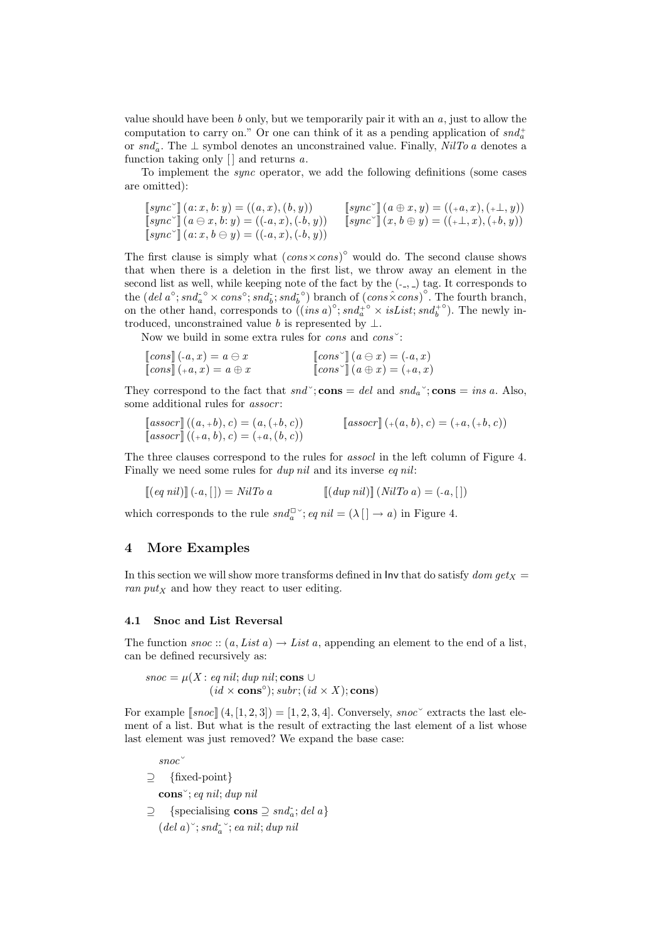value should have been  $b$  only, but we temporarily pair it with an  $a$ , just to allow the computation to carry on." Or one can think of it as a pending application of  $snd_a^+$ or  $\mathit{snd}_a$ . The  $\bot$  symbol denotes an unconstrained value. Finally,  $NilTo$  a denotes a function taking only  $\lceil \cdot \rceil$  and returns a.

To implement the sync operator, we add the following definitions (some cases are omitted):

$$
\begin{array}{ll}\n\text{[sync}^{\vee}\text{]} (a: x, b: y) = ((a, x), (b, y)) & \text{[sync}^{\vee}\text{]} (a \oplus x, y) = ((+a, x), (+\bot, y)) \\
\text{[sync}^{\vee}\text{]} (a \ominus x, b: y) = ((-a, x), (-b, y)) & \text{[sync}^{\vee}\text{]} (x, b \oplus y) = ((+ \bot, x), (+b, y)) \\
\text{[sync}^{\vee}\text{]} (a: x, b \ominus y) = ((-a, x), (-b, y))\n\end{array}
$$

The first clause is simply what  $\left( \cos \times \cos \right)$ <sup>o</sup> would do. The second clause shows that when there is a deletion in the first list, we throw away an element in the second list as well, while keeping note of the fact by the  $(-, -)$  tag. It corresponds to the  $(del\ a^\circ; \textit{snd}_a^\circ \times \textit{cons}^\circ; \textit{snd}_b^\circ; \textit{snd}_b^\circ)$  branch of  $(\textit{cons}\ \hat{\times}\ \textit{cons})^\circ$ . The fourth branch, on the other hand, corresponds to  $((ins a)^{\circ}; snd_a^{\dagger \circ} \times isList; snd_b^{\dagger})$ °). The newly introduced, unconstrained value b is represented by  $\bot$ .

Now we build in some extra rules for *cons* and *cons*<sup> $\sim$ </sup>:

| $\llbracket cons \rrbracket (-a, x) = a \ominus x$ | $\llbracket cons \urcorner \rrbracket (a \ominus x) = (-a, x)$ |
|----------------------------------------------------|----------------------------------------------------------------|
| $\llbracket cons \rrbracket (+a, x) = a \oplus x$  | $\llbracket cons^{\vee} \rrbracket (a \oplus x) = (+a, x)$     |

They correspond to the fact that  $snd$ <sup> $\cdot$ </sup>; cons = del and  $snd<sub>a</sub>$ <sup> $\cdot$ </sup>; cons = ins a. Also, some additional rules for *assocr*:

 $[assocr] ((a, +b), c) = (a, (+b, c))$   $[assocr] (+ (a, b), c) = (+a, (+b, c))$  $[assocr] ((a, b), c) = (a, (b, c))$ 

The three clauses correspond to the rules for assocl in the left column of Figure 4. Finally we need some rules for *dup nil* and its inverse *eq nil*:

 $[(eq \, nil)] \, (-a, [] ) = NilTo \, a \qquad [[(dup \, nil)] \, (NilTo \, a) = (-a, [] )$ 

which corresponds to the rule  $\text{snd}_a^{\square \sim}$ ;  $\text{eq } \text{nil} = (\lambda \mid \cdot \rangle - a)$  in Figure 4.

## 4 More Examples

In this section we will show more transforms defined in lnv that do satisfy  $dom\ get_X =$ ran  $put_X$  and how they react to user editing.

#### 4.1 Snoc and List Reversal

The function snoc ::  $(a, List a) \rightarrow List a$ , appending an element to the end of a list, can be defined recursively as:

$$
snoc = \mu(X : eq \; nil; \; dw \; nil; \text{cons} \cup
$$

$$
(\text{id} \times \text{cons}^{\circ}); \text{subr}; (\text{id} \times X); \text{cons})
$$

For example  $[\text{3}noc][(4, [1, 2, 3]) = [1, 2, 3, 4]$ . Conversely,  $\text{3}noc\text{°}$  extracts the last element of a list. But what is the result of extracting the last element of a list whose last element was just removed? We expand the base case:

 $snoc^{\check{}}$ ⊇ {fixed-point} cons˘; eq nil; dup nil  $\supseteq$  {specialising **cons**  $\supseteq$  *snd<sub>a</sub>*; *del a*}  $(\text{del } a)^{\sim}; \text{snd}_a^{\sim}; \text{ea } \text{nil}; \text{dup } \text{nil}$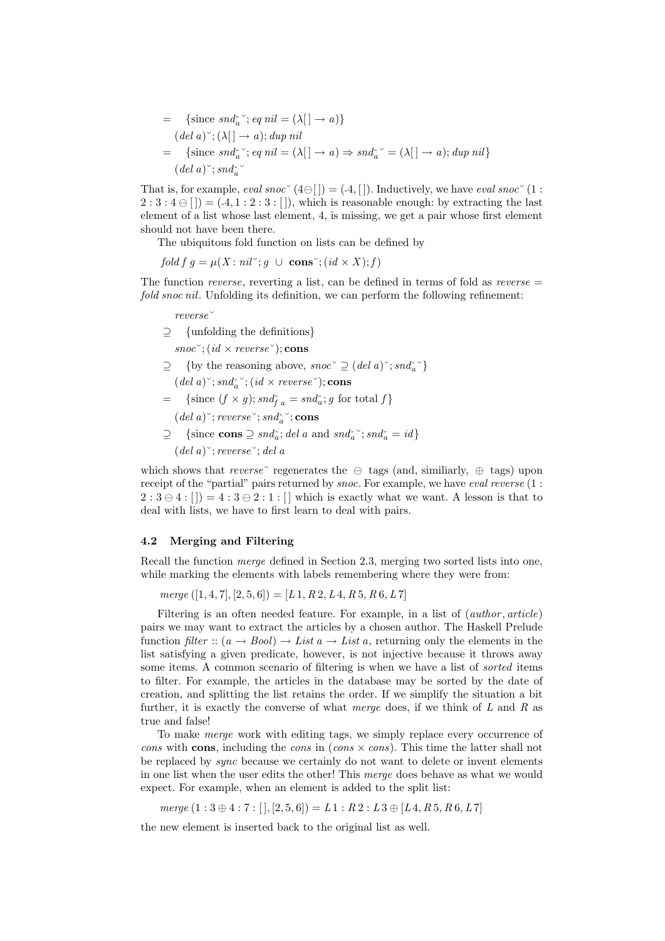$$
= \{\text{since } \operatorname{snd}_a^{\sim} \; \; : \; \text{eq} \; \text{nil} = (\lambda[] \to a)\}
$$
\n
$$
(\text{del } a)^{\sim} \; ; \; (\lambda[] \to a); \; \text{dup } \text{nil}
$$
\n
$$
= \{\text{since } \operatorname{snd}_a^{\sim} \; : \; \text{eq} \; \text{nil} = (\lambda[] \to a) \Rightarrow \operatorname{snd}_a^{\sim} = (\lambda[] \to a); \; \text{dup } \text{nil}\}
$$
\n
$$
(\text{del } a)^{\sim} \; ; \; \operatorname{snd}_a^{\sim}
$$

That is, for example, *eval snoc*<sup> $\check{ }$ </sup> (4 $\ominus$ []) = (-4, []). Inductively, we have *eval snoc*<sup> $\check{ }$ </sup> (1 :  $2:3:4 \ominus []) = (-4, 1:2:3:[])$ , which is reasonable enough: by extracting the last element of a list whose last element, 4, is missing, we get a pair whose first element should not have been there.

The ubiquitous fold function on lists can be defined by

fold f  $q = \mu(X : nil^{\sim}; q \cup \mathbf{cons}^{\sim}; (id \times X); f)$ 

The function reverse, reverting a list, can be defined in terms of fold as  $reverse =$ fold snoc nil. Unfolding its definition, we can perform the following refinement:

reverse˘

⊇ {unfolding the definitions}  $snoc$ <sup> $\cdot$ </sup>; (*id*  $\times$  *reverse* $\circ$ ); **cons** 

- $\supseteq$  {by the reasoning above,  $\mathit snoc \check{\supseteq} (\mathit del \ a)$ <sup>"</sup>;  $\mathit snd_a^{-\check{\circ}}$ }  $(\text{del } a)^{\sim}$ ;  $\text{sn}d_a^{\sim}$ ;  $(\text{id} \times \text{reverse}^{\sim})$ ; cons
- = {since  $(f \times g)$ ; snd<sub>f</sub><sub>a</sub> = snd<sub>a</sub>; g for total f}
	- $(\text{del } a)^{\sim}; \text{reverse}^{\sim}; \text{snd}^{\sim}_a; \text{cons}$
- $\supseteq$  {since **cons**  $\supseteq$  *snd<sub>a</sub>*; *del a* and *snd<sub>a</sub>*<sup>-</sup>; *snd<sub>a</sub>*</sub> = *id*}  $(\text{del } a)$ <sup>"</sup>; reverse<sup>"</sup>; del a

which shows that reverse $\check{\ }$  regenerates the  $\Theta$  tags (and, similiarly,  $\oplus$  tags) upon receipt of the "partial" pairs returned by *snoc*. For example, we have *eval reverse* (1 :  $2:3 \ominus 4:$   $| \cdot | = 4:3 \ominus 2:1:$  which is exactly what we want. A lesson is that to deal with lists, we have to first learn to deal with pairs.

### 4.2 Merging and Filtering

Recall the function merge defined in Section 2.3, merging two sorted lists into one, while marking the elements with labels remembering where they were from:

merge  $([1, 4, 7], [2, 5, 6]) = [L1, R2, L4, R5, R6, L7]$ 

Filtering is an often needed feature. For example, in a list of (*author, article*) pairs we may want to extract the articles by a chosen author. The Haskell Prelude function filter ::  $(a \rightarrow Bool) \rightarrow List \ a \rightarrow List \ a$ , returning only the elements in the list satisfying a given predicate, however, is not injective because it throws away some items. A common scenario of filtering is when we have a list of sorted items to filter. For example, the articles in the database may be sorted by the date of creation, and splitting the list retains the order. If we simplify the situation a bit further, it is exactly the converse of what merge does, if we think of  $L$  and  $R$  as true and false!

To make merge work with editing tags, we simply replace every occurrence of cons with cons, including the cons in  $(\cos \times \cos)$ . This time the latter shall not be replaced by sync because we certainly do not want to delete or invent elements in one list when the user edits the other! This merge does behave as what we would expect. For example, when an element is added to the split list:

 $merge (1:3 \oplus 4:7 : [[, [2, 5, 6]) = L1:R2:LS \oplus [L4, R5, R6, L7])$ 

the new element is inserted back to the original list as well.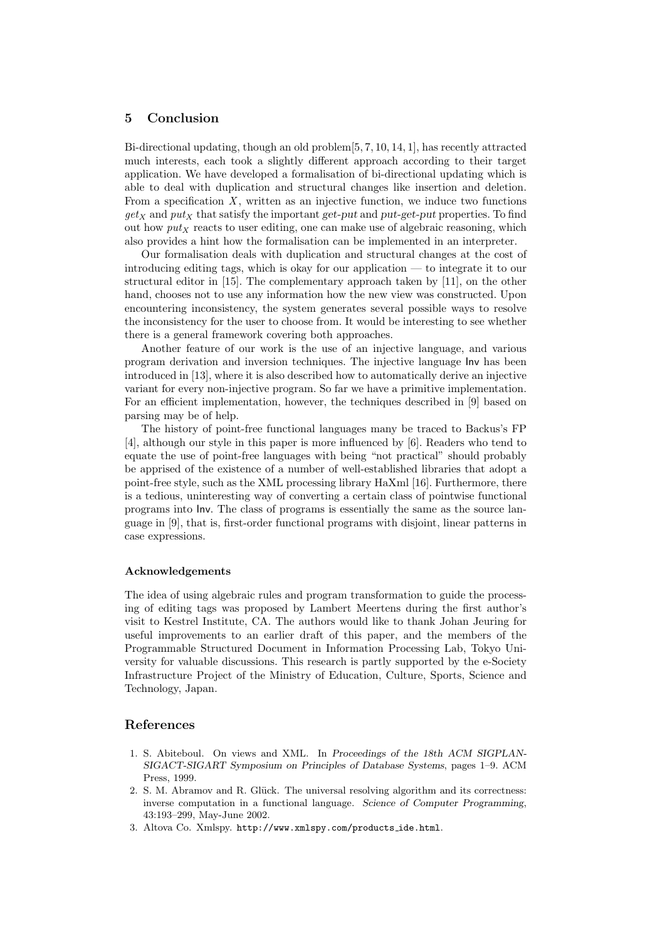## 5 Conclusion

Bi-directional updating, though an old problem[5, 7, 10, 14, 1], has recently attracted much interests, each took a slightly different approach according to their target application. We have developed a formalisation of bi-directional updating which is able to deal with duplication and structural changes like insertion and deletion. From a specification  $X$ , written as an injective function, we induce two functions  $get_X$  and  $put_X$  that satisfy the important get-put and put-get-put properties. To find out how  $put_X$  reacts to user editing, one can make use of algebraic reasoning, which also provides a hint how the formalisation can be implemented in an interpreter.

Our formalisation deals with duplication and structural changes at the cost of introducing editing tags, which is okay for our application — to integrate it to our structural editor in [15]. The complementary approach taken by [11], on the other hand, chooses not to use any information how the new view was constructed. Upon encountering inconsistency, the system generates several possible ways to resolve the inconsistency for the user to choose from. It would be interesting to see whether there is a general framework covering both approaches.

Another feature of our work is the use of an injective language, and various program derivation and inversion techniques. The injective language Inv has been introduced in [13], where it is also described how to automatically derive an injective variant for every non-injective program. So far we have a primitive implementation. For an efficient implementation, however, the techniques described in [9] based on parsing may be of help.

The history of point-free functional languages many be traced to Backus's FP [4], although our style in this paper is more influenced by [6]. Readers who tend to equate the use of point-free languages with being "not practical" should probably be apprised of the existence of a number of well-established libraries that adopt a point-free style, such as the XML processing library HaXml [16]. Furthermore, there is a tedious, uninteresting way of converting a certain class of pointwise functional programs into Inv. The class of programs is essentially the same as the source language in [9], that is, first-order functional programs with disjoint, linear patterns in case expressions.

#### Acknowledgements

The idea of using algebraic rules and program transformation to guide the processing of editing tags was proposed by Lambert Meertens during the first author's visit to Kestrel Institute, CA. The authors would like to thank Johan Jeuring for useful improvements to an earlier draft of this paper, and the members of the Programmable Structured Document in Information Processing Lab, Tokyo University for valuable discussions. This research is partly supported by the e-Society Infrastructure Project of the Ministry of Education, Culture, Sports, Science and Technology, Japan.

## References

- 1. S. Abiteboul. On views and XML. In Proceedings of the 18th ACM SIGPLAN-SIGACT-SIGART Symposium on Principles of Database Systems, pages 1–9. ACM Press, 1999.
- 2. S. M. Abramov and R. Glück. The universal resolving algorithm and its correctness: inverse computation in a functional language. Science of Computer Programming, 43:193–299, May-June 2002.
- 3. Altova Co. Xmlspy. http://www.xmlspy.com/products ide.html.